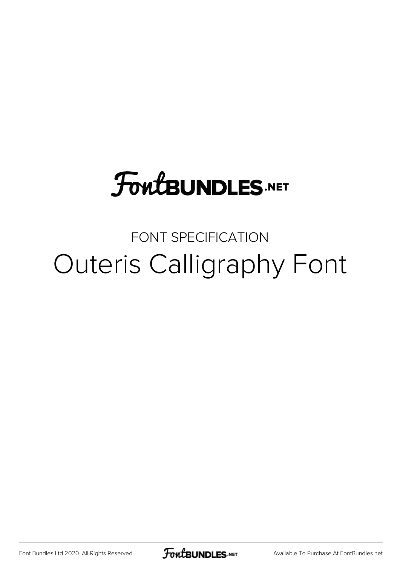## **FoutBUNDLES.NET**

## FONT SPECIFICATION Outeris Calligraphy Font

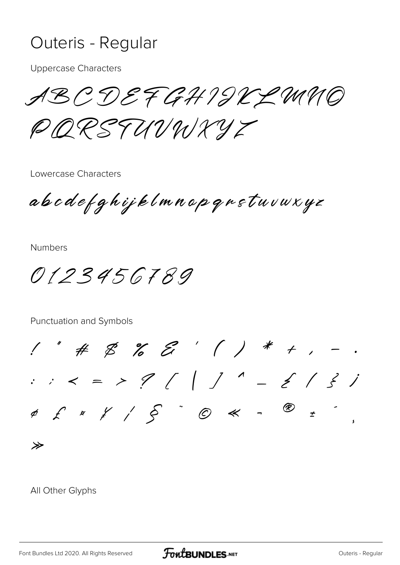## Outeris - Regular

**Uppercase Characters** 

ABCDEFGHIJKLMMO PORSTUVNXYZ

Lowercase Characters

abodefghijklmnopqnstuvuxyz

**Numbers** 

0123456789

Punctuation and Symbols

 $1''$  # \$ % & ' ( ) \* + , -.  $\therefore$  < = > ? ( | ] ^ - { | } }  $\overline{z}$   $\overline{z}$ ≫

All Other Glyphs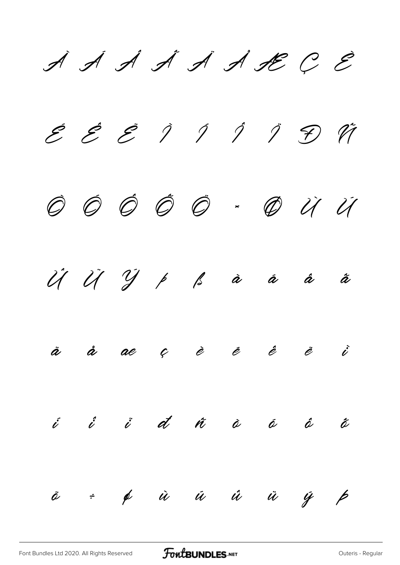$\cancel{A}$   $\cancel{A}$   $\cancel{A}$   $\cancel{A}$   $\cancel{A}$   $\cancel{A}$   $\cancel{B}$   $C$   $\cancel{E}$  $\mathcal{E}$   $\mathcal{E}$   $\mathcal{I}$   $\mathcal{I}$   $\mathcal{I}$   $\mathcal{I}$   $\mathcal{F}$   $\mathcal{H}$ Ò Ó Ô Õ Ö × Ø Ù Ú Û Ü Ý Þ ß à á â ã ä å æ ç è é ê ë ì í î ï ð ñ ò ó ô õ

ö ÷ ø ù ú û ü ý þ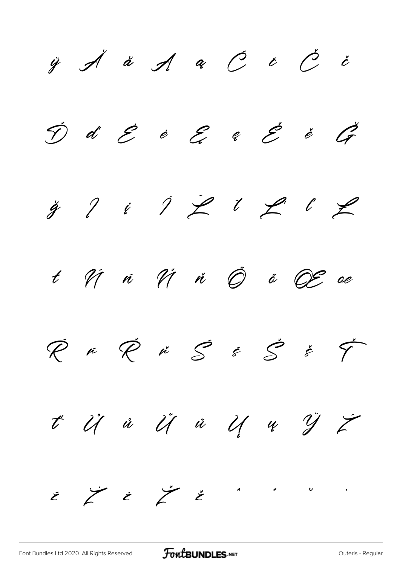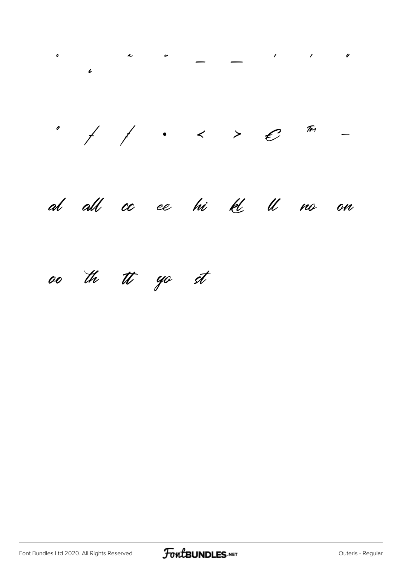

oo the tt yo st

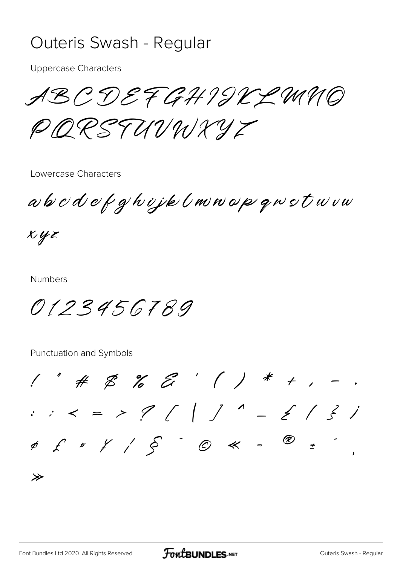## Outeris Swash - Regular

**Uppercase Characters** 

ABCDEFGHIJKLMNO PORSTUVNXYZ

Lowercase Characters

abodefghijk (mnopgwstwvw

 $xyz$ 

**Numbers** 

0123456789

Punctuation and Symbols

 $1''$  #  $25$  %  $27'$  ( ) \* + , -.  $\therefore$  < = > ? ( | ] ^ - { | } i  $\neq$  $\gg$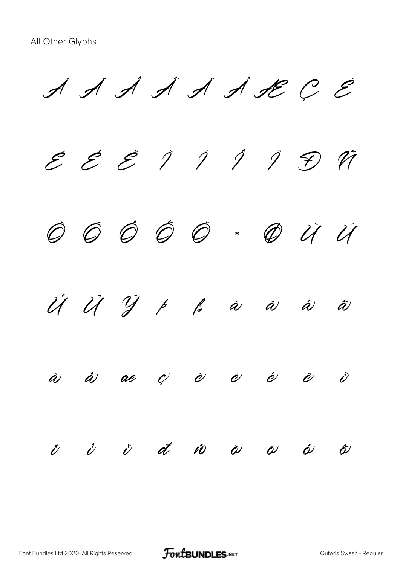$\cancel{A}$   $\cancel{A}$   $\cancel{A}$   $\cancel{A}$   $\cancel{A}$   $\cancel{A}$   $\cancel{B}$   $C$   $\cancel{E}$ E E E Ì Í Í Ï Đ Vi Ò Ó Ô Õ Ö × Ø Ù Ú Û Ü Ý Þ ß à á â ã ä å æ ç è é ê ë ì  $\acute{v}$   $\acute{v}$   $\acute{a}$   $\acute{a}$   $\acute{v}$   $\grave{a}$   $\acute{a}$   $\acute{a}$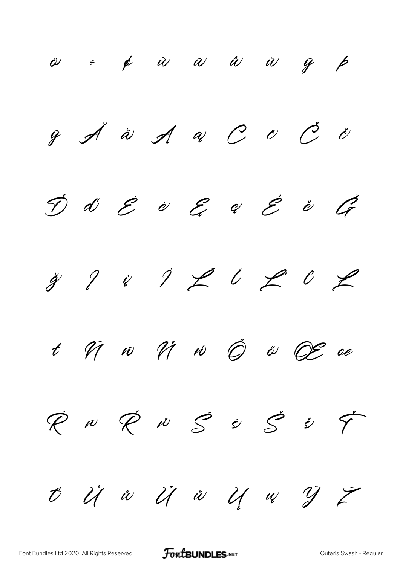$\ddot{\omega}$  ÷  $\phi$   $\dot{\omega}$   $\omega$   $\dot{\omega}$   $\ddot{\omega}$   $\ddot{\omega}$   $\dot{\gamma}$   $\dot{\beta}$  $\ddot{y}$   $\breve{\mathcal{A}}$   $\ddot{\alpha}$   $\breve{\mathcal{A}}$   $\alpha$   $\breve{C}$   $\dot{\omicron}$   $\breve{C}$   $\breve{\omicron}$  $\acute{\mathcal{D}}$  d  $\acute{\mathcal{E}}$  è  $\mathcal{E}$  e  $\acute{\mathcal{E}}$  è  $\acute{\mathcal{G}}$  $\ddot{y}$  ? i  $\ddot{z}$  i  $\ddot{z}$  i  $\ddot{z}$  $t$   $\hat{W}$   $\hat{W}$   $\hat{W}$   $\hat{W}$   $\hat{Q}$   $\hat{\theta}$   $\hat{\theta}$   $\hat{\theta}$   $\hat{\theta}$   $\hat{\theta}$   $\hat{\theta}$   $\hat{\theta}$   $\hat{\theta}$  $\emptyset$  iv  $\emptyset$  is  $\emptyset$  is  $\emptyset$  if ť Ů ů Ű ű Ų ų Ÿ Ź